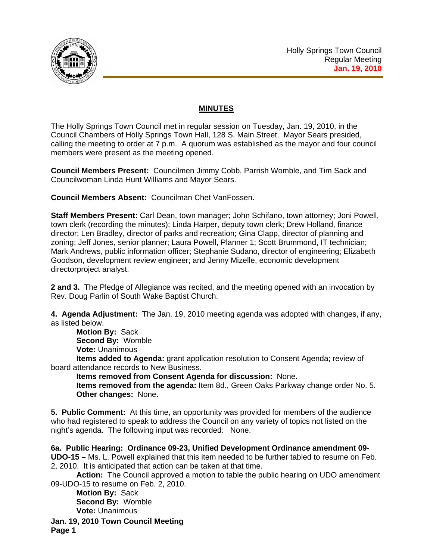

## **MINUTES**

The Holly Springs Town Council met in regular session on Tuesday, Jan. 19, 2010, in the Council Chambers of Holly Springs Town Hall, 128 S. Main Street. Mayor Sears presided, calling the meeting to order at 7 p.m. A quorum was established as the mayor and four council members were present as the meeting opened.

**Council Members Present:** Councilmen Jimmy Cobb, Parrish Womble, and Tim Sack and Councilwoman Linda Hunt Williams and Mayor Sears.

**Council Members Absent:** Councilman Chet VanFossen.

**Staff Members Present:** Carl Dean, town manager; John Schifano, town attorney; Joni Powell, town clerk (recording the minutes); Linda Harper, deputy town clerk; Drew Holland, finance director; Len Bradley, director of parks and recreation; Gina Clapp, director of planning and zoning; Jeff Jones, senior planner; Laura Powell, Planner 1; Scott Brummond, IT technician; Mark Andrews, public information officer; Stephanie Sudano, director of engineering; Elizabeth Goodson, development review engineer; and Jenny Mizelle, economic development directorproject analyst.

**2 and 3.** The Pledge of Allegiance was recited, and the meeting opened with an invocation by Rev. Doug Parlin of South Wake Baptist Church.

**4. Agenda Adjustment:** The Jan. 19, 2010 meeting agenda was adopted with changes, if any, as listed below.

**Motion By:** Sack **Second By:** Womble

**Vote:** Unanimous

**Items added to Agenda:** grant application resolution to Consent Agenda; review of board attendance records to New Business.

**Items removed from Consent Agenda for discussion:** None**.** 

**Items removed from the agenda:** Item 8d., Green Oaks Parkway change order No. 5. **Other changes:** None**.** 

**5. Public Comment:** At this time, an opportunity was provided for members of the audience who had registered to speak to address the Council on any variety of topics not listed on the night's agenda. The following input was recorded: None.

**6a. Public Hearing: Ordinance 09-23, Unified Development Ordinance amendment 09- UDO-15 –** Ms. L. Powell explained that this item needed to be further tabled to resume on Feb. 2, 2010. It is anticipated that action can be taken at that time.

 **Action:** The Council approved a motion to table the public hearing on UDO amendment 09-UDO-15 to resume on Feb. 2, 2010.

**Motion By:** Sack **Second By:** Womble **Vote:** Unanimous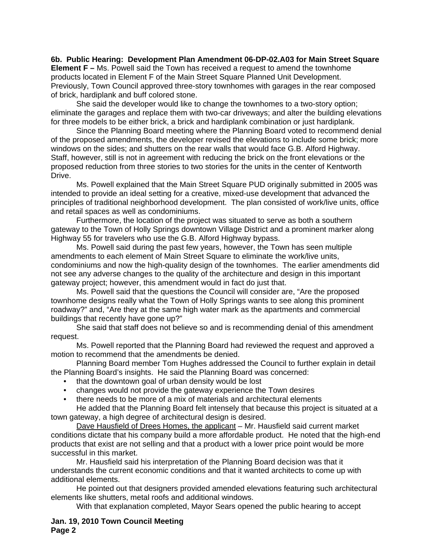**6b. Public Hearing: Development Plan Amendment 06-DP-02.A03 for Main Street Square Element F –** Ms. Powell said the Town has received a request to amend the townhome products located in Element F of the Main Street Square Planned Unit Development. Previously, Town Council approved three-story townhomes with garages in the rear composed of brick, hardiplank and buff colored stone.

She said the developer would like to change the townhomes to a two-story option; eliminate the garages and replace them with two-car driveways; and alter the building elevations for three models to be either brick, a brick and hardiplank combination or just hardiplank.

Since the Planning Board meeting where the Planning Board voted to recommend denial of the proposed amendments, the developer revised the elevations to include some brick; more windows on the sides; and shutters on the rear walls that would face G.B. Alford Highway. Staff, however, still is not in agreement with reducing the brick on the front elevations or the proposed reduction from three stories to two stories for the units in the center of Kentworth Drive.

 Ms. Powell explained that the Main Street Square PUD originally submitted in 2005 was intended to provide an ideal setting for a creative, mixed-use development that advanced the principles of traditional neighborhood development. The plan consisted of work/live units, office and retail spaces as well as condominiums.

Furthermore, the location of the project was situated to serve as both a southern gateway to the Town of Holly Springs downtown Village District and a prominent marker along Highway 55 for travelers who use the G.B. Alford Highway bypass.

Ms. Powell said during the past few years, however, the Town has seen multiple amendments to each element of Main Street Square to eliminate the work/live units, condominiums and now the high-quality design of the townhomes. The earlier amendments did not see any adverse changes to the quality of the architecture and design in this important gateway project; however, this amendment would in fact do just that.

Ms. Powell said that the questions the Council will consider are, "Are the proposed townhome designs really what the Town of Holly Springs wants to see along this prominent roadway?" and, "Are they at the same high water mark as the apartments and commercial buildings that recently have gone up?"

She said that staff does not believe so and is recommending denial of this amendment request.

Ms. Powell reported that the Planning Board had reviewed the request and approved a motion to recommend that the amendments be denied.

Planning Board member Tom Hughes addressed the Council to further explain in detail the Planning Board's insights. He said the Planning Board was concerned:

- that the downtown goal of urban density would be lost
- changes would not provide the gateway experience the Town desires
- there needs to be more of a mix of materials and architectural elements

He added that the Planning Board felt intensely that because this project is situated at a town gateway, a high degree of architectural design is desired.

Dave Hausfield of Drees Homes, the applicant – Mr. Hausfield said current market conditions dictate that his company build a more affordable product. He noted that the high-end products that exist are not selling and that a product with a lower price point would be more successful in this market.

Mr. Hausfield said his interpretation of the Planning Board decision was that it understands the current economic conditions and that it wanted architects to come up with additional elements.

He pointed out that designers provided amended elevations featuring such architectural elements like shutters, metal roofs and additional windows.

With that explanation completed, Mayor Sears opened the public hearing to accept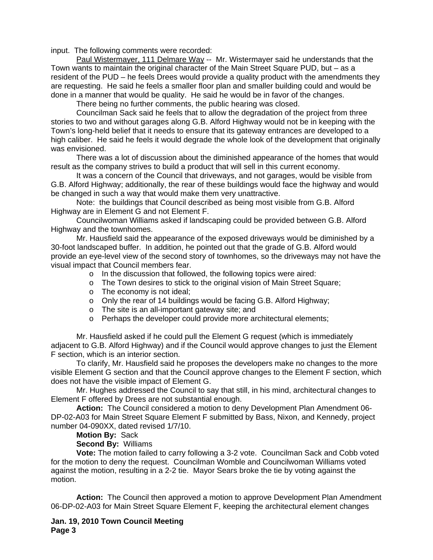input. The following comments were recorded:

Paul Wistermayer, 111 Delmare Way -- Mr. Wistermayer said he understands that the Town wants to maintain the original character of the Main Street Square PUD, but – as a resident of the PUD – he feels Drees would provide a quality product with the amendments they are requesting. He said he feels a smaller floor plan and smaller building could and would be done in a manner that would be quality. He said he would be in favor of the changes.

There being no further comments, the public hearing was closed.

Councilman Sack said he feels that to allow the degradation of the project from three stories to two and without garages along G.B. Alford Highway would not be in keeping with the Town's long-held belief that it needs to ensure that its gateway entrances are developed to a high caliber. He said he feels it would degrade the whole look of the development that originally was envisioned.

There was a lot of discussion about the diminished appearance of the homes that would result as the company strives to build a product that will sell in this current economy.

It was a concern of the Council that driveways, and not garages, would be visible from G.B. Alford Highway; additionally, the rear of these buildings would face the highway and would be changed in such a way that would make them very unattractive.

Note: the buildings that Council described as being most visible from G.B. Alford Highway are in Element G and not Element F.

Councilwoman Williams asked if landscaping could be provided between G.B. Alford Highway and the townhomes.

Mr. Hausfield said the appearance of the exposed driveways would be diminished by a 30-foot landscaped buffer. In addition, he pointed out that the grade of G.B. Alford would provide an eye-level view of the second story of townhomes, so the driveways may not have the visual impact that Council members fear.

- o In the discussion that followed, the following topics were aired:
- o The Town desires to stick to the original vision of Main Street Square;
- o The economy is not ideal;
- o Only the rear of 14 buildings would be facing G.B. Alford Highway;
- o The site is an all-important gateway site; and
- o Perhaps the developer could provide more architectural elements;

Mr. Hausfield asked if he could pull the Element G request (which is immediately adjacent to G.B. Alford Highway) and if the Council would approve changes to just the Element F section, which is an interior section.

To clarify, Mr. Hausfield said he proposes the developers make no changes to the more visible Element G section and that the Council approve changes to the Element F section, which does not have the visible impact of Element G.

Mr. Hughes addressed the Council to say that still, in his mind, architectural changes to Element F offered by Drees are not substantial enough.

 **Action:** The Council considered a motion to deny Development Plan Amendment 06- DP-02-A03 for Main Street Square Element F submitted by Bass, Nixon, and Kennedy, project number 04-090XX, dated revised 1/7/10.

 **Motion By:** Sack

**Second By:** Williams

**Vote:** The motion failed to carry following a 3-2 vote. Councilman Sack and Cobb voted for the motion to deny the request. Councilman Womble and Councilwoman Williams voted against the motion, resulting in a 2-2 tie. Mayor Sears broke the tie by voting against the motion.

 **Action:** The Council then approved a motion to approve Development Plan Amendment 06-DP-02-A03 for Main Street Square Element F, keeping the architectural element changes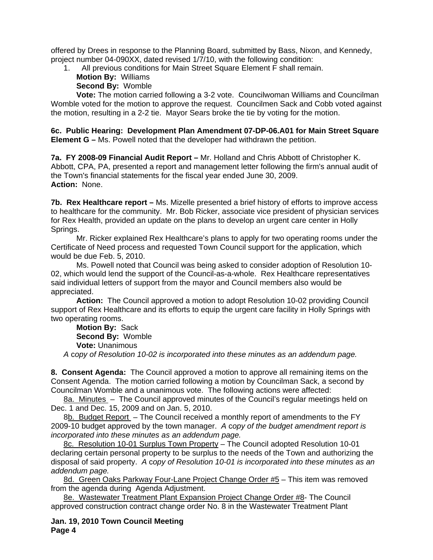offered by Drees in response to the Planning Board, submitted by Bass, Nixon, and Kennedy, project number 04-090XX, dated revised 1/7/10, with the following condition:

1. All previous conditions for Main Street Square Element F shall remain.

 **Motion By:** Williams

**Second By:** Womble

**Vote:** The motion carried following a 3-2 vote. Councilwoman Williams and Councilman Womble voted for the motion to approve the request. Councilmen Sack and Cobb voted against the motion, resulting in a 2-2 tie. Mayor Sears broke the tie by voting for the motion.

**6c. Public Hearing: Development Plan Amendment 07-DP-06.A01 for Main Street Square Element G –** Ms. Powell noted that the developer had withdrawn the petition.

**7a. FY 2008-09 Financial Audit Report –** Mr. Holland and Chris Abbott of Christopher K. Abbott, CPA, PA, presented a report and management letter following the firm's annual audit of the Town's financial statements for the fiscal year ended June 30, 2009. **Action:** None.

**7b. Rex Healthcare report –** Ms. Mizelle presented a brief history of efforts to improve access to healthcare for the community. Mr. Bob Ricker, associate vice president of physician services for Rex Health, provided an update on the plans to develop an urgent care center in Holly Springs.

Mr. Ricker explained Rex Healthcare's plans to apply for two operating rooms under the Certificate of Need process and requested Town Council support for the application, which would be due Feb. 5, 2010.

Ms. Powell noted that Council was being asked to consider adoption of Resolution 10- 02, which would lend the support of the Council-as-a-whole. Rex Healthcare representatives said individual letters of support from the mayor and Council members also would be appreciated.

 **Action:** The Council approved a motion to adopt Resolution 10-02 providing Council support of Rex Healthcare and its efforts to equip the urgent care facility in Holly Springs with two operating rooms.

**Motion By:** Sack **Second By:** Womble **Vote:** Unanimous *A* c*opy of Resolution 10-02 is incorporated into these minutes as an addendum page.*

**8. Consent Agenda:** The Council approved a motion to approve all remaining items on the Consent Agenda. The motion carried following a motion by Councilman Sack, a second by Councilman Womble and a unanimous vote. The following actions were affected:

8a. Minutes - The Council approved minutes of the Council's regular meetings held on Dec. 1 and Dec. 15, 2009 and on Jan. 5, 2010.

8b. Budget Report – The Council received a monthly report of amendments to the FY 2009-10 budget approved by the town manager. *A* c*opy of the budget amendment report is incorporated into these minutes as an addendum page.*

8c. Resolution 10-01 Surplus Town Property – The Council adopted Resolution 10-01 declaring certain personal property to be surplus to the needs of the Town and authorizing the disposal of said property. *A* c*opy of Resolution 10-01 is incorporated into these minutes as an addendum page.*

8d. Green Oaks Parkway Four-Lane Project Change Order #5 – This item was removed from the agenda during Agenda Adjustment.

8e. Wastewater Treatment Plant Expansion Project Change Order #8- The Council approved construction contract change order No. 8 in the Wastewater Treatment Plant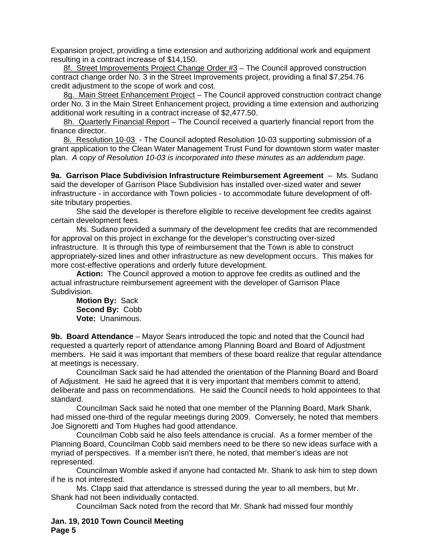Expansion project, providing a time extension and authorizing additional work and equipment resulting in a contract increase of \$14,150.

8f. Street Improvements Project Change Order #3 – The Council approved construction contract change order No. 3 in the Street Improvements project, providing a final \$7,254.76 credit adjustment to the scope of work and cost.

8g. Main Street Enhancement Project – The Council approved construction contract change order No. 3 in the Main Street Enhancement project, providing a time extension and authorizing additional work resulting in a contract increase of \$2,477.50.

8h. Quarterly Financial Report – The Council received a quarterly financial report from the finance director.

8i. Resolution 10-03 - The Council adopted Resolution 10-03 supporting submission of a grant application to the Clean Water Management Trust Fund for downtown storm water master plan. *A* c*opy of Resolution 10-03 is incorporated into these minutes as an addendum page.*

**9a. Garrison Place Subdivision Infrastructure Reimbursement Agreement** – Ms. Sudano said the developer of Garrison Place Subdivision has installed over-sized water and sewer infrastructure - in accordance with Town policies - to accommodate future development of offsite tributary properties.

She said the developer is therefore eligible to receive development fee credits against certain development fees.

Ms. Sudano provided a summary of the development fee credits that are recommended for approval on this project in exchange for the developer's constructing over-sized infrastructure. It is through this type of reimbursement that the Town is able to construct appropriately-sized lines and other infrastructure as new development occurs. This makes for more cost-effective operations and orderly future development.

**Action:** The Council approved a motion to approve fee credits as outlined and the actual infrastructure reimbursement agreement with the developer of Garrison Place Subdivision.

**Motion By:** Sack **Second By:** Cobb **Vote:** Unanimous.

**9b. Board Attendance** – Mayor Sears introduced the topic and noted that the Council had requested a quarterly report of attendance among Planning Board and Board of Adjustment members. He said it was important that members of these board realize that regular attendance at meetings is necessary.

 Councilman Sack said he had attended the orientation of the Planning Board and Board of Adjustment. He said he agreed that it is very important that members commit to attend, deliberate and pass on recommendations. He said the Council needs to hold appointees to that standard.

 Councilman Sack said he noted that one member of the Planning Board, Mark Shank, had missed one-third of the regular meetings during 2009. Conversely, he noted that members Joe Signoretti and Tom Hughes had good attendance.

 Councilman Cobb said he also feels attendance is crucial. As a former member of the Planning Board, Councilman Cobb said members need to be there so new ideas surface with a myriad of perspectives. If a member isn't there, he noted, that member's ideas are not represented.

 Councilman Womble asked if anyone had contacted Mr. Shank to ask him to step down if he is not interested.

 Ms. Clapp said that attendance is stressed during the year to all members, but Mr. Shank had not been individually contacted.

Councilman Sack noted from the record that Mr. Shank had missed four monthly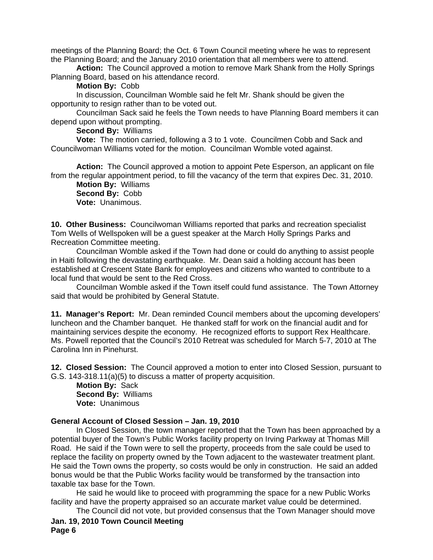meetings of the Planning Board; the Oct. 6 Town Council meeting where he was to represent the Planning Board; and the January 2010 orientation that all members were to attend.

**Action:** The Council approved a motion to remove Mark Shank from the Holly Springs Planning Board, based on his attendance record.

## **Motion By:** Cobb

 In discussion, Councilman Womble said he felt Mr. Shank should be given the opportunity to resign rather than to be voted out.

 Councilman Sack said he feels the Town needs to have Planning Board members it can depend upon without prompting.

**Second By:** Williams

**Vote:** The motion carried, following a 3 to 1 vote. Councilmen Cobb and Sack and Councilwoman Williams voted for the motion. Councilman Womble voted against.

**Action:** The Council approved a motion to appoint Pete Esperson, an applicant on file from the regular appointment period, to fill the vacancy of the term that expires Dec. 31, 2010.

**Motion By:** Williams **Second By:** Cobb **Vote:** Unanimous.

**10. Other Business:** Councilwoman Williams reported that parks and recreation specialist Tom Wells of Wellspoken will be a guest speaker at the March Holly Springs Parks and Recreation Committee meeting.

 Councilman Womble asked if the Town had done or could do anything to assist people in Haiti following the devastating earthquake. Mr. Dean said a holding account has been established at Crescent State Bank for employees and citizens who wanted to contribute to a local fund that would be sent to the Red Cross.

 Councilman Womble asked if the Town itself could fund assistance. The Town Attorney said that would be prohibited by General Statute.

**11. Manager's Report:** Mr. Dean reminded Council members about the upcoming developers' luncheon and the Chamber banquet. He thanked staff for work on the financial audit and for maintaining services despite the economy. He recognized efforts to support Rex Healthcare. Ms. Powell reported that the Council's 2010 Retreat was scheduled for March 5-7, 2010 at The Carolina Inn in Pinehurst.

**12. Closed Session:** The Council approved a motion to enter into Closed Session, pursuant to G.S. 143-318.11(a)(5) to discuss a matter of property acquisition.

**Motion By:** Sack **Second By:** Williams **Vote:** Unanimous

## **General Account of Closed Session – Jan. 19, 2010**

 In Closed Session, the town manager reported that the Town has been approached by a potential buyer of the Town's Public Works facility property on Irving Parkway at Thomas Mill Road. He said if the Town were to sell the property, proceeds from the sale could be used to replace the facility on property owned by the Town adjacent to the wastewater treatment plant. He said the Town owns the property, so costs would be only in construction. He said an added bonus would be that the Public Works facility would be transformed by the transaction into taxable tax base for the Town.

 He said he would like to proceed with programming the space for a new Public Works facility and have the property appraised so an accurate market value could be determined.

**Jan. 19, 2010 Town Council Meeting Page 6**  The Council did not vote, but provided consensus that the Town Manager should move